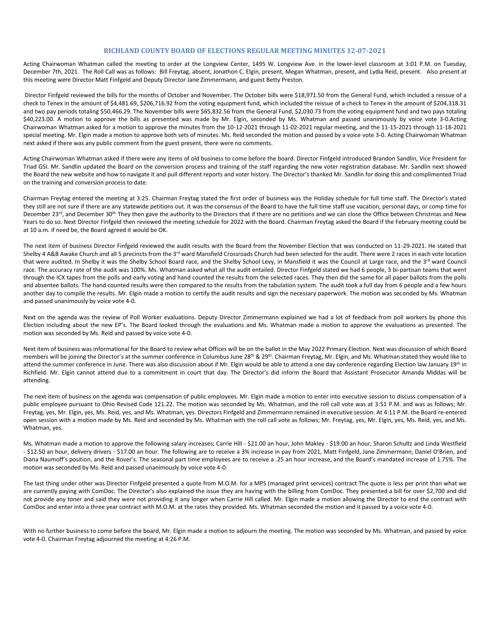## **RICHLAND COUNTY BOARD OF ELECTIONS REGULAR MEETING MINUTES 12-07-2021**

Acting Chairwoman Whatman called the meeting to order at the Longview Center, 1495 W. Longview Ave. in the lower-level classroom at 3:01 P.M. on Tuesday, December 7th, 2021. The Roll Call was as follows: Bill Freytag, absent, Jonathon C. Elgin, present, Megan Whatman, present, and Lydia Reid, present. Also present at this meeting were Director Matt Finfgeld and Deputy Director Jane Zimmermann, and guest Betty Preston.

Director Finfgeld reviewed the bills for the months of October and November. The October bills were \$18,971.50 from the General Fund, which included a reissue of a check to Tenex in the amount of \$4,481.69, \$206,716.92 from the voting equipment fund, which included the reissue of a check to Tenex in the amount of \$204,318.31 and two pay periods totaling \$50,466.29. The November bills were \$65,832.56 from the General Fund, \$2,030.73 from the voting equipment fund and two pays totaling \$40,223.00. A motion to approve the bills as presented was made by Mr. Elgin, seconded by Ms. Whatman and passed unanimously by voice vote 3-0.Acting Chairwoman Whatman asked for a motion to approve the minutes from the 10-12-2021 through 11-02-2021 regular meeting, and the 11-15-2021 through 11-18-2021 special meeting. Mr. Elgin made a motion to approve both sets of minutes. Ms. Reid seconded the motion and passed by a voice vote 3-0. Acting Chairwoman Whatman next asked if there was any public comment from the guest present, there were no comments.

Acting Chairwoman Whatman asked if there were any items of old business to come before the board. Director Finfgeld introduced Brandon Sandlin, Vice President for Triad GSI. Mr. Sandlin updated the Board on the conversion process and training of the staff regarding the new voter registration database. Mr. Sandlin next showed the Board the new website and how to navigate it and pull different reports and voter history. The Director's thanked Mr. Sandlin for doing this and complimented Triad on the training and conversion process to date.

Chairman Freytag entered the meeting at 3:25. Chairman Freytag stated the first order of business was the Holiday schedule for full time staff. The Director's stated they still are not sure if there are any statewide petitions out. It was the consensus of the Board to have the full time staff use vacation, personal days, or comp time for December  $23^{rd}$ , and December  $30^{th}$ . They then gave the authority to the Directors that if there are no petitions and we can close the Office between Christmas and New Years to do so. Next Director Finfgeld then reviewed the meeting schedule for 2022 with the Board. Chairman Freytag asked the Board if the February meeting could be at 10 a.m. if need be, the Board agreed it would be OK.

The next item of business Director Finfgeld reviewed the audit results with the Board from the November Election that was conducted on 11-29-2021. He stated that Shelby 4 A&B Awake Church and all 5 precincts from the 3<sup>rd</sup> ward Mansfield Crossroads Church had been selected for the audit. There were 2 races in each vote location that were audited. In Shelby it was the Shelby School Board race, and the Shelby School Levy, in Mansfield it was the Council at Large race, and the 3<sup>rd</sup> ward Council race. The accuracy rate of the audit was 100%. Ms. Whatman asked what all the audit entailed. Director Finfgeld stated we had 6 people, 3 bi-partisan teams that went through the ICX tapes from the polls and early voting and hand counted the results from the selected races. They then did the same for all paper ballots from the polls and absentee ballots. The hand counted results were then compared to the results from the tabulation system. The audit took a full day from 6 people and a few hours another day to compile the results. Mr. Elgin made a motion to certify the audit results and sign the necessary paperwork. The motion was seconded by Ms. Whatman and passed unanimously by voice vote 4-0.

Next on the agenda was the review of Poll Worker evaluations. Deputy Director Zimmermann explained we had a lot of feedback from poll workers by phone this Election including about the new EP's. The Board looked through the evaluations and Ms. Whatman made a motion to approve the evaluations as presented. The motion was seconded by Ms. Reid and passed by voice vote 4-0.

Next item of business was informational for the Board to review what Offices will be on the ballot in the May 2022 Primary Election. Next was discussion of which Board members will be joining the Director's at the summer conference in Columbus June 28<sup>th</sup> & 29<sup>th</sup>. Chairman Freytag, Mr. Elgin, and Ms. Whatman stated they would like to attend the summer conference in June. There was also discussion about if Mr. Elgin would be able to attend a one day conference regarding Election law January 19<sup>th</sup> in Richfield. Mr. Elgin cannot attend due to a commitment in court that day. The Director's did inform the Board that Assistant Prosecutor Amanda Middas will be attending.

The next item of business on the agenda was compensation of public employees. Mr. Elgin made a motion to enter into executive session to discuss compensation of a public employee pursuant to Ohio Revised Code 121.22. The motion was seconded by Ms. Whatman, and the roll call vote was at 3:51 P.M. and was as follows; Mr. Freytag, yes, Mr. Elgin, yes, Ms. Reid, yes, and Ms. Whatman, yes. Directors Finfgeld and Zimmermann remained in executive session. At 4:11 P.M. the Board re-entered open session with a motion made by Ms. Reid and seconded by Ms. Whatman with the roll call vote as follows; Mr. Freytag, yes, Mr. Elgin, yes, Ms. Reid, yes, and Ms. Whatman, yes.

Ms. Whatman made a motion to approve the following salary increases; Carrie Hill - \$21.00 an hour, John Makley - \$19.00 an hour, Sharon Schultz and Linda Westfield - \$12.50 an hour, delivery drivers - \$17.00 an hour. The following are to receive a 3% increase in pay from 2021, Matt Finfgeld, Jane Zimmermann, Daniel O'Brien, and Diana Naumoff's position, and the Rover's. The seasonal part time employees are to receive a .25 an hour increase, and the Board's mandated increase of 1.75%. The motion was seconded by Ms. Reid and passed unanimously by voice vote 4-0.

The last thing under other was Director Finfgeld presented a quote from M.O.M. for a MPS (managed print services) contract The quote is less per print than what we are currently paying with ComDoc. The Director's also explained the issue they are having with the billing from ComDoc. They presented a bill for over \$2,700 and did not provide any toner and said they were not providing it any longer when Carrie Hill called. Mr. Elgin made a motion allowing the Director to end the contract with ComDoc and enter into a three year contract with M.O.M. at the rates they provided. Ms. Whatman seconded the motion and it passed by a voice vote 4-0.

With no further business to come before the board, Mr. Elgin made a motion to adjourn the meeting. The motion was seconded by Ms. Whatman, and passed by voice vote 4-0. Chairman Freytag adjourned the meeting at 4:26 P.M.